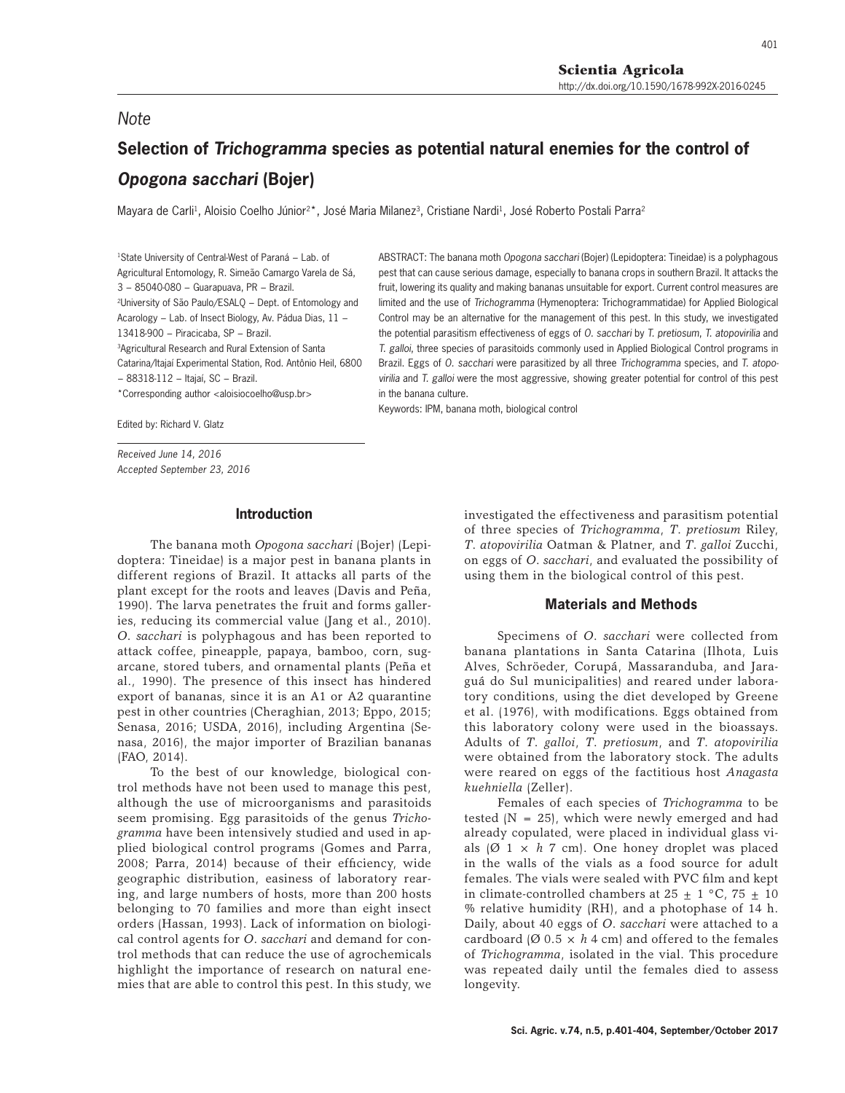401

# **Selection of** *Trichogramma* **species as potential natural enemies for the control of**  *Opogona sacchari* **(Bojer)**

Mayara de Carli<sup>1</sup>, Aloisio Coelho Júnior<sup>2\*</sup>, José Maria Milanez<sup>3</sup>, Cristiane Nardi<sup>1</sup>, José Roberto Postali Parra<sup>2</sup>

1State University of Central-West of Paraná − Lab. of Agricultural Entomology, R. Simeão Camargo Varela de Sá, 3 − 85040-080 − Guarapuava, PR − Brazil. 2University of São Paulo/ESALQ − Dept. of Entomology and Acarology − Lab. of Insect Biology, Av. Pádua Dias, 11 − 13418-900 − Piracicaba, SP − Brazil. 3Agricultural Research and Rural Extension of Santa Catarina/Itajaí Experimental Station, Rod. Antônio Heil, 6800 − 88318-112 − Itajaí, SC − Brazil.

\*Corresponding author <aloisiocoelho@usp.br>

ABSTRACT: The banana moth *Opogona sacchari* (Bojer) (Lepidoptera: Tineidae) is a polyphagous pest that can cause serious damage, especially to banana crops in southern Brazil. It attacks the fruit, lowering its quality and making bananas unsuitable for export. Current control measures are limited and the use of *Trichogramma* (Hymenoptera: Trichogrammatidae) for Applied Biological Control may be an alternative for the management of this pest. In this study, we investigated the potential parasitism effectiveness of eggs of *O. sacchari* by *T. pretiosum*, *T. atopovirilia* and *T. galloi*, three species of parasitoids commonly used in Applied Biological Control programs in Brazil. Eggs of *O. sacchari* were parasitized by all three *Trichogramma* species, and *T. atopovirilia* and *T. galloi* were the most aggressive, showing greater potential for control of this pest in the banana culture.

Keywords: IPM, banana moth, biological control

Edited by: Richard V. Glatz

*Note*

*Received June 14, 2016 Accepted September 23, 2016*

## **Introduction**

The banana moth *Opogona sacchari* (Bojer) (Lepidoptera: Tineidae) is a major pest in banana plants in different regions of Brazil. It attacks all parts of the plant except for the roots and leaves (Davis and Peña, 1990). The larva penetrates the fruit and forms galleries, reducing its commercial value (Jang et al., 2010). *O*. *sacchari* is polyphagous and has been reported to attack coffee, pineapple, papaya, bamboo, corn, sugarcane, stored tubers, and ornamental plants (Peña et al., 1990). The presence of this insect has hindered export of bananas, since it is an A1 or A2 quarantine pest in other countries (Cheraghian, 2013; Eppo, 2015; Senasa, 2016; USDA, 2016), including Argentina (Senasa, 2016), the major importer of Brazilian bananas (FAO, 2014).

To the best of our knowledge, biological control methods have not been used to manage this pest, although the use of microorganisms and parasitoids seem promising. Egg parasitoids of the genus *Trichogramma* have been intensively studied and used in applied biological control programs (Gomes and Parra, 2008; Parra, 2014) because of their efficiency, wide geographic distribution, easiness of laboratory rearing, and large numbers of hosts, more than 200 hosts belonging to 70 families and more than eight insect orders (Hassan, 1993). Lack of information on biological control agents for *O*. *sacchari* and demand for control methods that can reduce the use of agrochemicals highlight the importance of research on natural enemies that are able to control this pest. In this study, we

investigated the effectiveness and parasitism potential of three species of *Trichogramma*, *T*. *pretiosum* Riley, *T*. *atopovirilia* Oatman & Platner, and *T*. *galloi* Zucchi, on eggs of *O*. *sacchari*, and evaluated the possibility of using them in the biological control of this pest.

## **Materials and Methods**

Specimens of *O*. *sacchari* were collected from banana plantations in Santa Catarina (Ilhota, Luis Alves, Schröeder, Corupá, Massaranduba, and Jaraguá do Sul municipalities) and reared under laboratory conditions, using the diet developed by Greene et al. (1976), with modifications. Eggs obtained from this laboratory colony were used in the bioassays. Adults of *T*. *galloi*, *T*. *pretiosum*, and *T*. *atopovirilia* were obtained from the laboratory stock. The adults were reared on eggs of the factitious host *Anagasta kuehniella* (Zeller).

Females of each species of *Trichogramma* to be tested  $(N = 25)$ , which were newly emerged and had already copulated, were placed in individual glass vials  $(Ø 1 \times h 7$  cm). One honey droplet was placed in the walls of the vials as a food source for adult females. The vials were sealed with PVC film and kept in climate-controlled chambers at  $25 \pm 1$  °C,  $75 \pm 10$ % relative humidity (RH), and a photophase of 14 h. Daily, about 40 eggs of *O*. *sacchari* were attached to a cardboard ( $\varnothing$  0.5  $\times$  *h* 4 cm) and offered to the females of *Trichogramma*, isolated in the vial. This procedure was repeated daily until the females died to assess longevity.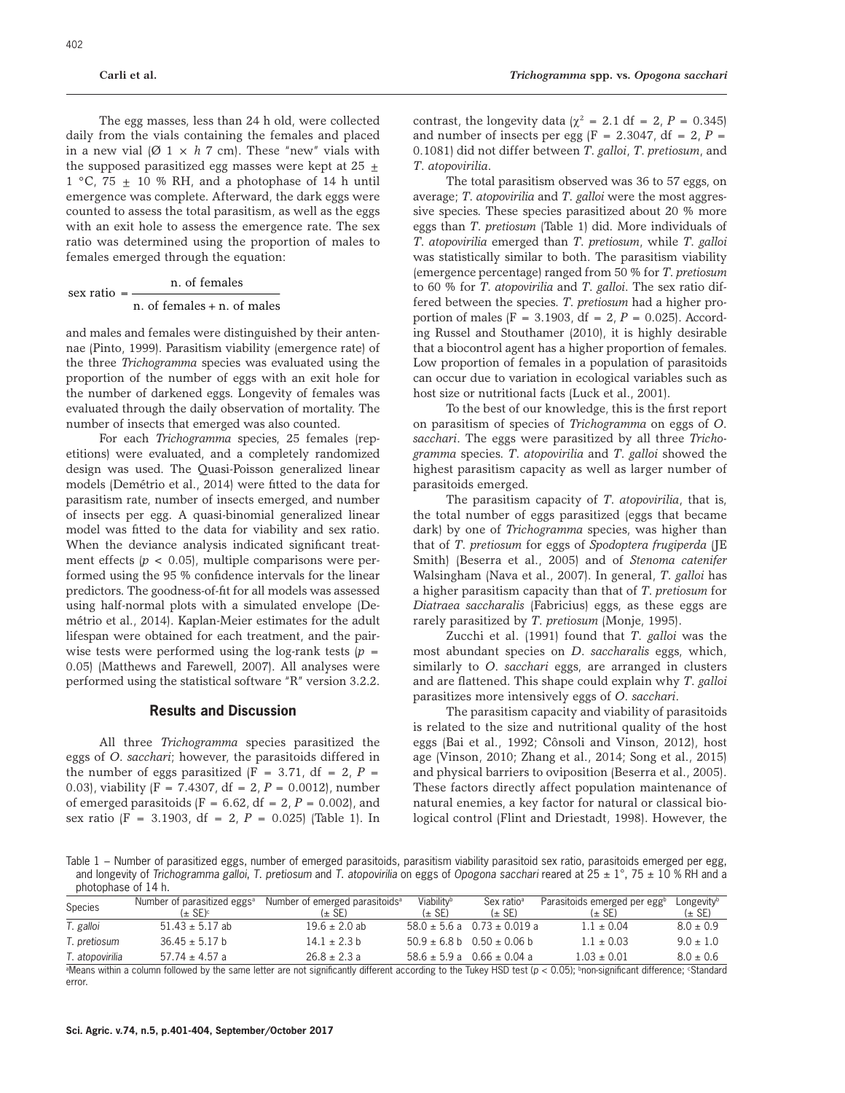The egg masses, less than 24 h old, were collected daily from the vials containing the females and placed in a new vial  $(\emptyset \ 1 \times h \ 7 \ \text{cm})$ . These "new" vials with the supposed parasitized egg masses were kept at 25  $\pm$  $1 °C$ ,  $75 \pm 10 % RH$ , and a photophase of 14 h until emergence was complete. Afterward, the dark eggs were counted to assess the total parasitism, as well as the eggs with an exit hole to assess the emergence rate. The sex ratio was determined using the proportion of males to females emerged through the equation:

\n
$$
\text{sex ratio} = \frac{n \cdot \text{of females}}{n \cdot \text{of females} + n \cdot \text{of males}}
$$
\n

and males and females were distinguished by their antennae (Pinto, 1999). Parasitism viability (emergence rate) of the three *Trichogramma* species was evaluated using the proportion of the number of eggs with an exit hole for the number of darkened eggs. Longevity of females was evaluated through the daily observation of mortality. The number of insects that emerged was also counted.

For each *Trichogramma* species, 25 females (repetitions) were evaluated, and a completely randomized design was used. The Quasi-Poisson generalized linear models (Demétrio et al., 2014) were fitted to the data for parasitism rate, number of insects emerged, and number of insects per egg. A quasi-binomial generalized linear model was fitted to the data for viability and sex ratio. When the deviance analysis indicated significant treatment effects  $(p < 0.05)$ , multiple comparisons were performed using the 95 % confidence intervals for the linear predictors. The goodness-of-fit for all models was assessed using half-normal plots with a simulated envelope (Demétrio et al., 2014). Kaplan-Meier estimates for the adult lifespan were obtained for each treatment, and the pairwise tests were performed using the log-rank tests  $(p =$ 0.05) (Matthews and Farewell, 2007). All analyses were performed using the statistical software "R" version 3.2.2.

# **Results and Discussion**

All three *Trichogramma* species parasitized the eggs of *O*. *sacchari*; however, the parasitoids differed in the number of eggs parasitized  $(F = 3.71, df = 2, P =$ 0.03), viability (F = 7.4307, df = 2, *P* = 0.0012), number of emerged parasitoids (F =  $6.62$ , df =  $2$ , P =  $0.002$ ), and sex ratio (F = 3.1903, df = 2, *P* = 0.025) (Table 1). In

contrast, the longevity data  $(\chi^2 = 2.1 \text{ df} = 2, P = 0.345)$ and number of insects per egg  $(F = 2.3047, df = 2, P =$ 0.1081) did not differ between *T*. *galloi*, *T*. *pretiosum*, and *T*. *atopovirilia*.

The total parasitism observed was 36 to 57 eggs, on average; *T*. *atopovirilia* and *T*. *galloi* were the most aggressive species. These species parasitized about 20 % more eggs than *T*. *pretiosum* (Table 1) did. More individuals of *T*. *atopovirilia* emerged than *T*. *pretiosum*, while *T*. *galloi* was statistically similar to both. The parasitism viability (emergence percentage) ranged from 50 % for *T*. *pretiosum* to 60 % for *T*. *atopovirilia* and *T*. *galloi*. The sex ratio differed between the species. *T*. *pretiosum* had a higher proportion of males  $(F = 3.1903, df = 2, P = 0.025)$ . According Russel and Stouthamer (2010), it is highly desirable that a biocontrol agent has a higher proportion of females. Low proportion of females in a population of parasitoids can occur due to variation in ecological variables such as host size or nutritional facts (Luck et al., 2001).

To the best of our knowledge, this is the first report on parasitism of species of *Trichogramma* on eggs of *O*. *sacchari*. The eggs were parasitized by all three *Trichogramma* species. *T*. *atopovirilia* and *T*. *galloi* showed the highest parasitism capacity as well as larger number of parasitoids emerged.

The parasitism capacity of *T*. *atopovirilia*, that is, the total number of eggs parasitized (eggs that became dark) by one of *Trichogramma* species, was higher than that of *T*. *pretiosum* for eggs of *Spodoptera frugiperda* (JE Smith) (Beserra et al., 2005) and of *Stenoma catenifer* Walsingham (Nava et al., 2007). In general, *T*. *galloi* has a higher parasitism capacity than that of *T*. *pretiosum* for *Diatraea saccharalis* (Fabricius) eggs, as these eggs are rarely parasitized by *T*. *pretiosum* (Monje, 1995).

Zucchi et al. (1991) found that *T*. *galloi* was the most abundant species on *D*. *saccharalis* eggs, which, similarly to *O*. *sacchari* eggs, are arranged in clusters and are flattened. This shape could explain why *T*. *galloi* parasitizes more intensively eggs of *O*. *sacchari*.

The parasitism capacity and viability of parasitoids is related to the size and nutritional quality of the host eggs (Bai et al., 1992; Cônsoli and Vinson, 2012), host age (Vinson, 2010; Zhang et al., 2014; Song et al., 2015) and physical barriers to oviposition (Beserra et al., 2005). These factors directly affect population maintenance of natural enemies, a key factor for natural or classical biological control (Flint and Driestadt, 1998). However, the

Table 1 − Number of parasitized eggs, number of emerged parasitoids, parasitism viability parasitoid sex ratio, parasitoids emerged per egg, and longevity of *Trichogramma galloi*, *T*. *pretiosum* and *T*. *atopovirilia* on eggs of *Opogona sacchari* reared at 25 ± 1°, 75 ± 10 % RH and a photophase of 14 h.

| Species         | Number of parasitized eggs <sup>a</sup> | Number of emerged parasitoids <sup>a</sup> | Viability <sup>b</sup> | Sex ratio <sup>a</sup>                             | Parasitoids emerged per eggb | Longevity <sup>b</sup> |
|-----------------|-----------------------------------------|--------------------------------------------|------------------------|----------------------------------------------------|------------------------------|------------------------|
|                 | $(\pm$ SE) $\circ$                      | (± SE)                                     | $(\pm$ SE)             | $(\pm$ SE)                                         | $(\pm$ SE)                   | (± SE)                 |
| T. galloi       | $51.43 \pm 5.17$ ab                     | $19.6 \pm 2.0$ ab                          |                        | $58.0 \pm 5.6$ a $0.73 \pm 0.019$ a                | $1.1 + 0.04$                 | $8.0 \pm 0.9$          |
| T. pretiosum    | $36.45 + 5.17 h$                        | $14.1 + 2.3 h$                             |                        | $50.9 \pm 6.8 \text{ h}$ $0.50 \pm 0.06 \text{ h}$ | $1.1 + 0.03$                 | $9.0 + 1.0$            |
| T. atopovirilia | $57.74 \pm 4.57$ a                      | $26.8 + 2.3a$                              |                        | $58.6 \pm 5.9$ a $0.66 \pm 0.04$ a                 | $1.03 + 0.01$                | $8.0 \pm 0.6$          |

Neans within a column followed by the same letter are not significantly different according to the Tukey HSD test (*p* < 0.05); <sup>b</sup>non-significant difference; «Standard error.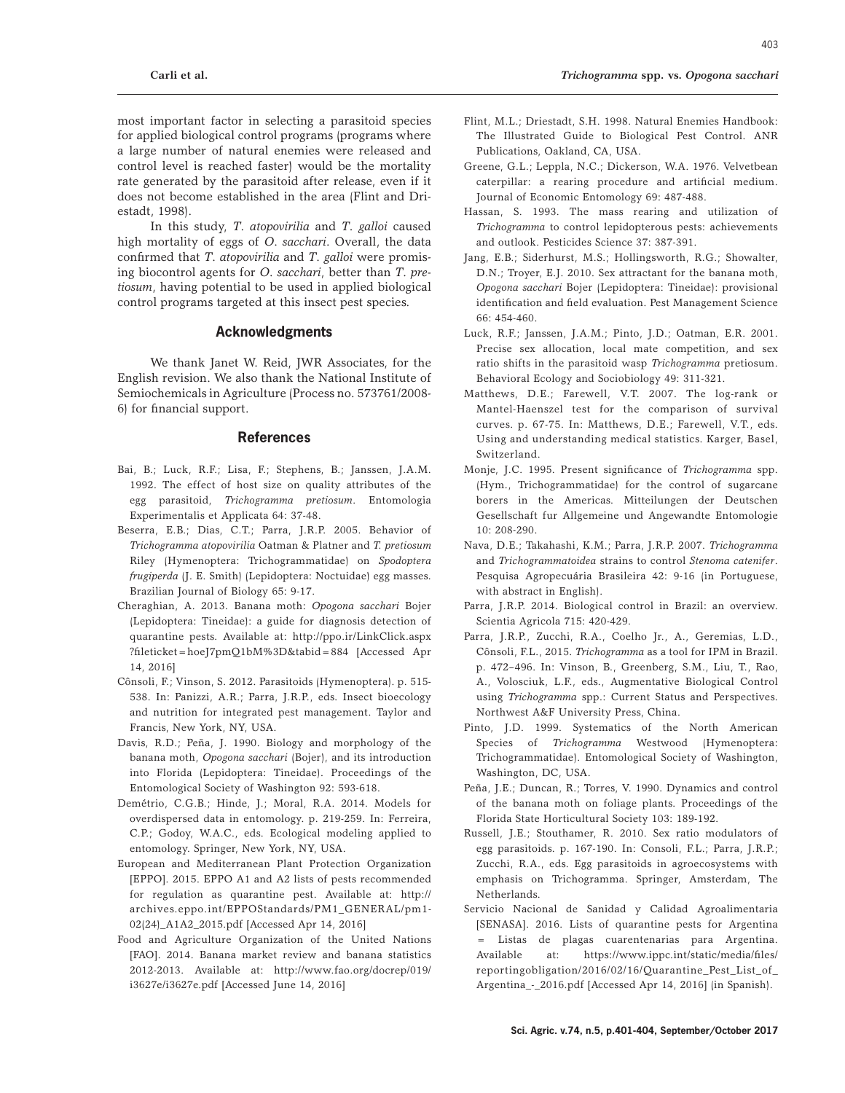403

most important factor in selecting a parasitoid species for applied biological control programs (programs where a large number of natural enemies were released and control level is reached faster) would be the mortality rate generated by the parasitoid after release, even if it does not become established in the area (Flint and Driestadt, 1998).

In this study, *T*. *atopovirilia* and *T*. *galloi* caused high mortality of eggs of *O*. *sacchari*. Overall, the data confirmed that *T*. *atopovirilia* and *T*. *galloi* were promising biocontrol agents for *O*. *sacchari*, better than *T*. *pretiosum*, having potential to be used in applied biological control programs targeted at this insect pest species.

# **Acknowledgments**

We thank Janet W. Reid, JWR Associates, for the English revision. We also thank the National Institute of Semiochemicals in Agriculture (Process no. 573761/2008- 6) for financial support.

### **References**

- Bai, B.; Luck, R.F.; Lisa, F.; Stephens, B.; Janssen, J.A.M. 1992. The effect of host size on quality attributes of the egg parasitoid, *Trichogramma pretiosum*. Entomologia Experimentalis et Applicata 64: 37-48.
- Beserra, E.B.; Dias, C.T.; Parra, J.R.P. 2005. Behavior of *Trichogramma atopovirilia* Oatman & Platner and *T. pretiosum*  Riley (Hymenoptera: Trichogrammatidae) on *Spodoptera frugiperda* (J. E. Smith) (Lepidoptera: Noctuidae) egg masses. Brazilian Journal of Biology 65: 9-17.
- Cheraghian, A. 2013. Banana moth: *Opogona sacchari* Bojer (Lepidoptera: Tineidae): a guide for diagnosis detection of quarantine pests. Available at: http://ppo.ir/LinkClick.aspx ?fileticket=hoeJ7pmQ1bM%3D&tabid=884 [Accessed Apr 14, 2016]
- Cônsoli, F.; Vinson, S. 2012. Parasitoids (Hymenoptera). p. 515- 538. In: Panizzi, A.R.; Parra, J.R.P., eds. Insect bioecology and nutrition for integrated pest management. Taylor and Francis, New York, NY, USA.
- Davis, R.D.; Peña, J. 1990. Biology and morphology of the banana moth, *Opogona sacchari* (Bojer), and its introduction into Florida (Lepidoptera: Tineidae). Proceedings of the Entomological Society of Washington 92: 593-618.
- Demétrio, C.G.B.; Hinde, J.; Moral, R.A. 2014. Models for overdispersed data in entomology. p. 219-259. In: Ferreira, C.P.; Godoy, W.A.C., eds. Ecological modeling applied to entomology. Springer, New York, NY, USA.
- European and Mediterranean Plant Protection Organization [EPPO]. 2015. EPPO A1 and A2 lists of pests recommended for regulation as quarantine pest. Available at: http:// archives.eppo.int/EPPOStandards/PM1\_GENERAL/pm1- 02(24)\_A1A2\_2015.pdf [Accessed Apr 14, 2016]
- Food and Agriculture Organization of the United Nations [FAO]. 2014. Banana market review and banana statistics 2012-2013. Available at: http://www.fao.org/docrep/019/ i3627e/i3627e.pdf [Accessed June 14, 2016]
- Flint, M.L.; Driestadt, S.H. 1998. Natural Enemies Handbook: The Illustrated Guide to Biological Pest Control. ANR Publications, Oakland, CA, USA.
- Greene, G.L.; Leppla, N.C.; Dickerson, W.A. 1976. Velvetbean caterpillar: a rearing procedure and artificial medium. Journal of Economic Entomology 69: 487-488.
- Hassan, S. 1993. The mass rearing and utilization of *Trichogramma* to control lepidopterous pests: achievements and outlook. Pesticides Science 37: 387-391.
- Jang, E.B.; Siderhurst, M.S.; Hollingsworth, R.G.; Showalter, D.N.; Troyer, E.J. 2010. Sex attractant for the banana moth, *Opogona sacchari* Bojer (Lepidoptera: Tineidae): provisional identification and field evaluation. Pest Management Science 66: 454-460.
- Luck, R.F.; Janssen, J.A.M.; Pinto, J.D.; Oatman, E.R. 2001. Precise sex allocation, local mate competition, and sex ratio shifts in the parasitoid wasp *Trichogramma* pretiosum. Behavioral Ecology and Sociobiology 49: 311-321.
- Matthews, D.E.; Farewell, V.T. 2007. The log-rank or Mantel-Haenszel test for the comparison of survival curves. p. 67-75. In: Matthews, D.E.; Farewell, V.T., eds. Using and understanding medical statistics. Karger, Basel, Switzerland.
- Monje, J.C. 1995. Present significance of *Trichogramma* spp. (Hym., Trichogrammatidae) for the control of sugarcane borers in the Americas. Mitteilungen der Deutschen Gesellschaft fur Allgemeine und Angewandte Entomologie 10: 208-290.
- Nava, D.E.; Takahashi, K.M.; Parra, J.R.P. 2007. *Trichogramma* and *Trichogrammatoidea* strains to control *Stenoma catenifer*. Pesquisa Agropecuária Brasileira 42: 9-16 (in Portuguese, with abstract in English).
- Parra, J.R.P. 2014. Biological control in Brazil: an overview. Scientia Agricola 715: 420-429.
- Parra, J.R.P., Zucchi, R.A., Coelho Jr., A., Geremias, L.D., Cônsoli, F.L., 2015. *Trichogramma* as a tool for IPM in Brazil. p. 472–496. In: Vinson, B., Greenberg, S.M., Liu, T., Rao, A., Volosciuk, L.F., eds., Augmentative Biological Control using *Trichogramma* spp.: Current Status and Perspectives. Northwest A&F University Press, China.
- Pinto, J.D. 1999. Systematics of the North American Species of *Trichogramma* Westwood (Hymenoptera: Trichogrammatidae). Entomological Society of Washington, Washington, DC, USA.
- Peña, J.E.; Duncan, R.; Torres, V. 1990. Dynamics and control of the banana moth on foliage plants. Proceedings of the Florida State Horticultural Society 103: 189-192.
- Russell, J.E.; Stouthamer, R. 2010. Sex ratio modulators of egg parasitoids. p. 167-190. In: Consoli, F.L.; Parra, J.R.P.; Zucchi, R.A., eds. Egg parasitoids in agroecosystems with emphasis on Trichogramma. Springer, Amsterdam, The Netherlands.
- Servicio Nacional de Sanidad y Calidad Agroalimentaria [SENASA]. 2016. Lists of quarantine pests for Argentina = Listas de plagas cuarentenarias para Argentina. Available at: https://www.ippc.int/static/media/files/ reportingobligation/2016/02/16/Quarantine\_Pest\_List\_of\_ Argentina\_-\_2016.pdf [Accessed Apr 14, 2016] (in Spanish).